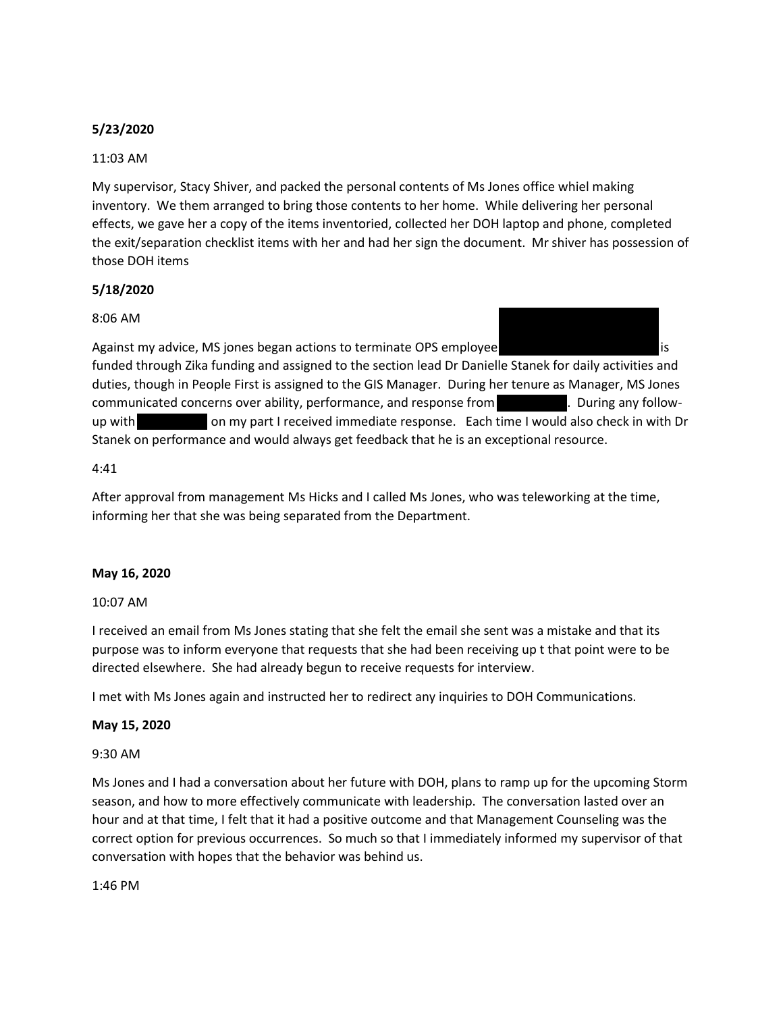## **5/23/2020**

## 11:03 AM

My supervisor, Stacy Shiver, and packed the personal contents of Ms Jones office whiel making inventory. We them arranged to bring those contents to her home. While delivering her personal effects, we gave her a copy of the items inventoried, collected her DOH laptop and phone, completed the exit/separation checklist items with her and had her sign the document. Mr shiver has possession of those DOH items

## **5/18/2020**

## 8:06 AM

Against my advice, MS jones began actions to terminate OPS employee Ryan Slapicas. Ryan Slapikas. As funded through Zika funding and assigned to the section lead Dr Danielle Stanek for daily activities and duties, though in People First is assigned to the GIS Manager. During her tenure as Manager, MS Jones communicated concerns over ability, performance, and response from Translation During any followup with Mr. Slapical Mr. Slaping on my part I received immediate response. Each time I would also check in with Dr Stanek on performance and would always get feedback that he is an exceptional resource.

### 4:41

After approval from management Ms Hicks and I called Ms Jones, who was teleworking at the time, informing her that she was being separated from the Department.

### **May 16, 2020**

### 10:07 AM

I received an email from Ms Jones stating that she felt the email she sent was a mistake and that its purpose was to inform everyone that requests that she had been receiving up t that point were to be directed elsewhere. She had already begun to receive requests for interview.

I met with Ms Jones again and instructed her to redirect any inquiries to DOH Communications.

### **May 15, 2020**

### 9:30 AM

Ms Jones and I had a conversation about her future with DOH, plans to ramp up for the upcoming Storm season, and how to more effectively communicate with leadership. The conversation lasted over an hour and at that time, I felt that it had a positive outcome and that Management Counseling was the correct option for previous occurrences. So much so that I immediately informed my supervisor of that conversation with hopes that the behavior was behind us.

1:46 PM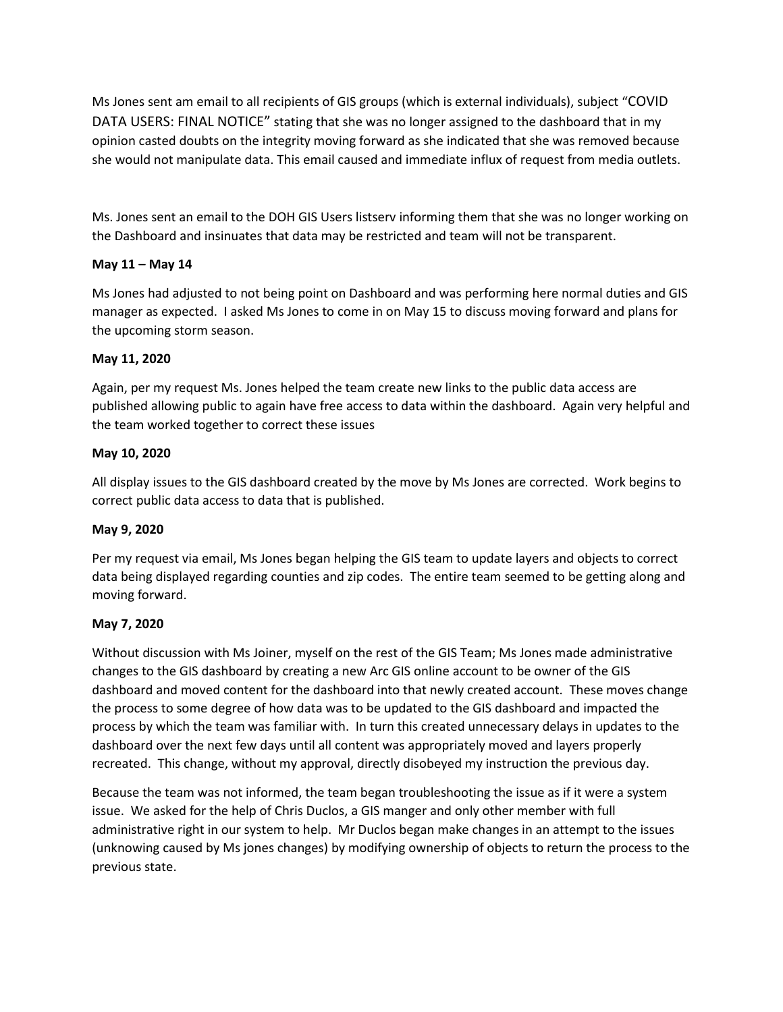Ms Jones sent am email to all recipients of GIS groups (which is external individuals), subject "COVID DATA USERS: FINAL NOTICE" stating that she was no longer assigned to the dashboard that in my opinion casted doubts on the integrity moving forward as she indicated that she was removed because she would not manipulate data. This email caused and immediate influx of request from media outlets.

Ms. Jones sent an email to the DOH GIS Users listserv informing them that she was no longer working on the Dashboard and insinuates that data may be restricted and team will not be transparent.

## **May 11 – May 14**

Ms Jones had adjusted to not being point on Dashboard and was performing here normal duties and GIS manager as expected. I asked Ms Jones to come in on May 15 to discuss moving forward and plans for the upcoming storm season.

## **May 11, 2020**

Again, per my request Ms. Jones helped the team create new links to the public data access are published allowing public to again have free access to data within the dashboard. Again very helpful and the team worked together to correct these issues

## **May 10, 2020**

All display issues to the GIS dashboard created by the move by Ms Jones are corrected. Work begins to correct public data access to data that is published.

### **May 9, 2020**

Per my request via email, Ms Jones began helping the GIS team to update layers and objects to correct data being displayed regarding counties and zip codes. The entire team seemed to be getting along and moving forward.

## **May 7, 2020**

Without discussion with Ms Joiner, myself on the rest of the GIS Team; Ms Jones made administrative changes to the GIS dashboard by creating a new Arc GIS online account to be owner of the GIS dashboard and moved content for the dashboard into that newly created account. These moves change the process to some degree of how data was to be updated to the GIS dashboard and impacted the process by which the team was familiar with. In turn this created unnecessary delays in updates to the dashboard over the next few days until all content was appropriately moved and layers properly recreated. This change, without my approval, directly disobeyed my instruction the previous day.

Because the team was not informed, the team began troubleshooting the issue as if it were a system issue. We asked for the help of Chris Duclos, a GIS manger and only other member with full administrative right in our system to help. Mr Duclos began make changes in an attempt to the issues (unknowing caused by Ms jones changes) by modifying ownership of objects to return the process to the previous state.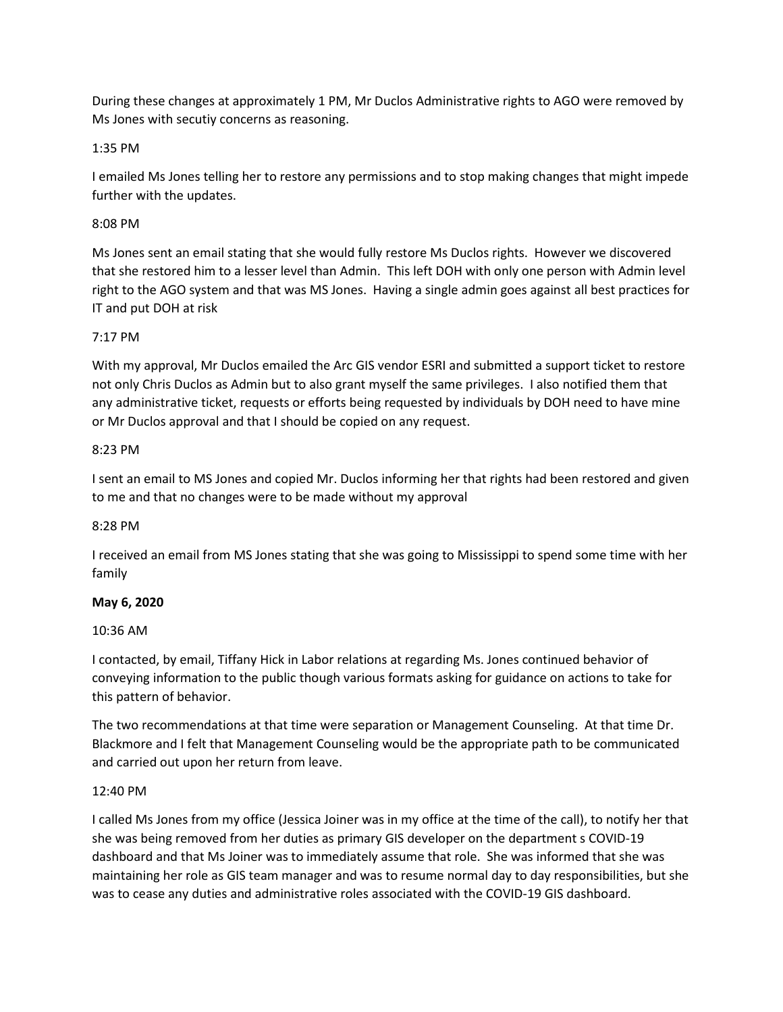During these changes at approximately 1 PM, Mr Duclos Administrative rights to AGO were removed by Ms Jones with secutiy concerns as reasoning.

## 1:35 PM

I emailed Ms Jones telling her to restore any permissions and to stop making changes that might impede further with the updates.

## 8:08 PM

Ms Jones sent an email stating that she would fully restore Ms Duclos rights. However we discovered that she restored him to a lesser level than Admin. This left DOH with only one person with Admin level right to the AGO system and that was MS Jones. Having a single admin goes against all best practices for IT and put DOH at risk

## 7:17 PM

With my approval, Mr Duclos emailed the Arc GIS vendor ESRI and submitted a support ticket to restore not only Chris Duclos as Admin but to also grant myself the same privileges. I also notified them that any administrative ticket, requests or efforts being requested by individuals by DOH need to have mine or Mr Duclos approval and that I should be copied on any request.

## 8:23 PM

I sent an email to MS Jones and copied Mr. Duclos informing her that rights had been restored and given to me and that no changes were to be made without my approval

## 8:28 PM

I received an email from MS Jones stating that she was going to Mississippi to spend some time with her family

## **May 6, 2020**

### 10:36 AM

I contacted, by email, Tiffany Hick in Labor relations at regarding Ms. Jones continued behavior of conveying information to the public though various formats asking for guidance on actions to take for this pattern of behavior.

The two recommendations at that time were separation or Management Counseling. At that time Dr. Blackmore and I felt that Management Counseling would be the appropriate path to be communicated and carried out upon her return from leave.

### 12:40 PM

I called Ms Jones from my office (Jessica Joiner was in my office at the time of the call), to notify her that she was being removed from her duties as primary GIS developer on the department s COVID-19 dashboard and that Ms Joiner was to immediately assume that role. She was informed that she was maintaining her role as GIS team manager and was to resume normal day to day responsibilities, but she was to cease any duties and administrative roles associated with the COVID-19 GIS dashboard.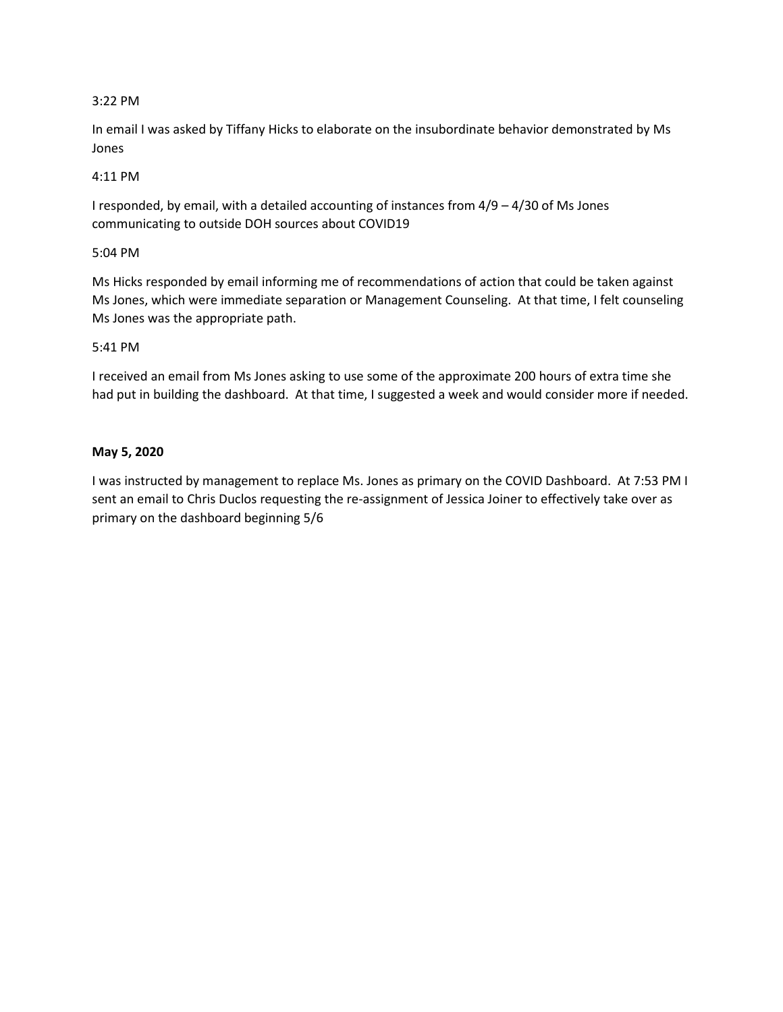## 3:22 PM

In email I was asked by Tiffany Hicks to elaborate on the insubordinate behavior demonstrated by Ms Jones

## 4:11 PM

I responded, by email, with a detailed accounting of instances from 4/9 – 4/30 of Ms Jones communicating to outside DOH sources about COVID19

## 5:04 PM

Ms Hicks responded by email informing me of recommendations of action that could be taken against Ms Jones, which were immediate separation or Management Counseling. At that time, I felt counseling Ms Jones was the appropriate path.

## 5:41 PM

I received an email from Ms Jones asking to use some of the approximate 200 hours of extra time she had put in building the dashboard. At that time, I suggested a week and would consider more if needed.

## **May 5, 2020**

I was instructed by management to replace Ms. Jones as primary on the COVID Dashboard. At 7:53 PM I sent an email to Chris Duclos requesting the re-assignment of Jessica Joiner to effectively take over as primary on the dashboard beginning 5/6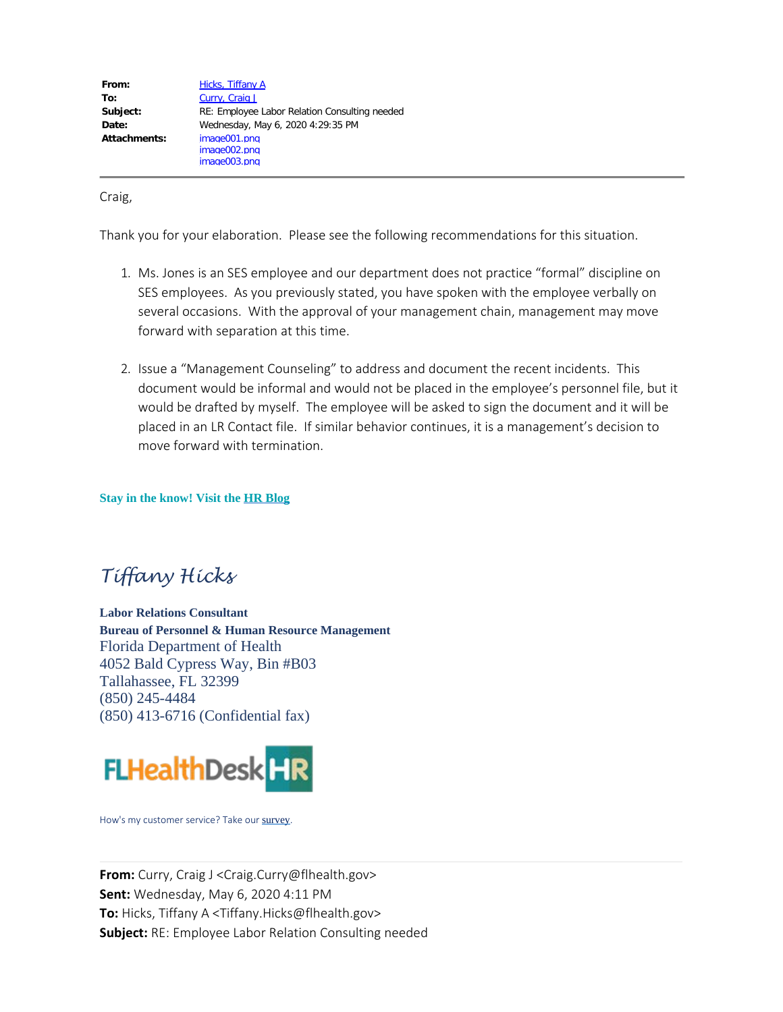| From:        | <b>Hicks, Tiffany A</b>                       |
|--------------|-----------------------------------------------|
| To:          | Curry, Craig J                                |
| Subject:     | RE: Employee Labor Relation Consulting needed |
| Date:        | Wednesday, May 6, 2020 4:29:35 PM             |
| Attachments: | image001.png                                  |
|              | image002.png                                  |
|              | image003.png                                  |

Craig,

Thank you for your elaboration. Please see the following recommendations for this situation.

- 1. Ms. Jones is an SES employee and our department does not practice "formal" discipline on SES employees. As you previously stated, you have spoken with the employee verbally on several occasions. With the approval of your management chain, management may move forward with separation at this time.
- 2. Issue a "Management Counseling" to address and document the recent incidents. This document would be informal and would not be placed in the employee's personnel file, but it would be drafted by myself. The employee will be asked to sign the document and it will be placed in an LR Contact file. If similar behavior continues, it is a management's decision to move forward with termination.

**Stay in the know! Visit the [HR Blog](https://floridahealth.sharepoint.com/Need-To-Know/default.aspx)**

# *Tiffany Hicks*

**Labor Relations Consultant Bureau of Personnel & Human Resource Management** Florida Department of Health 4052 Bald Cypress Way, Bin #B03 Tallahassee, FL 32399 (850) 245-4484 (850) 413-6716 (Confidential fax)



How's my customer service? Take our [survey](http://fldoh.customerservice.sgizmo.com/s3/).

**From:** Curry, Craig J <Craig.Curry@flhealth.gov> **Sent:** Wednesday, May 6, 2020 4:11 PM **To:** Hicks, Tiffany A <Tiffany.Hicks@flhealth.gov> **Subject:** RE: Employee Labor Relation Consulting needed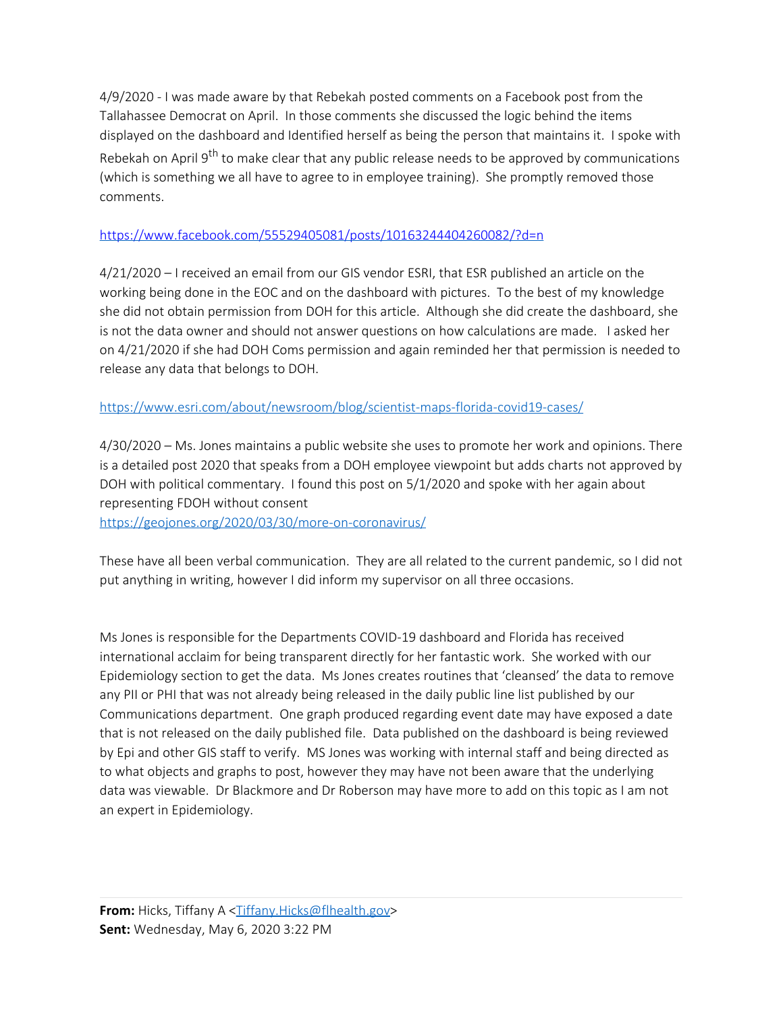4/9/2020 - I was made aware by that Rebekah posted comments on a Facebook post from the Tallahassee Democrat on April. In those comments she discussed the logic behind the items displayed on the dashboard and Identified herself as being the person that maintains it. I spoke with Rebekah on April 9<sup>th</sup> to make clear that any public release needs to be approved by communications (which is something we all have to agree to in employee training). She promptly removed those comments.

## <https://www.facebook.com/55529405081/posts/10163244404260082/?d=n>

4/21/2020 – I received an email from our GIS vendor ESRI, that ESR published an article on the working being done in the EOC and on the dashboard with pictures. To the best of my knowledge she did not obtain permission from DOH for this article. Although she did create the dashboard, she is not the data owner and should not answer questions on how calculations are made. I asked her on 4/21/2020 if she had DOH Coms permission and again reminded her that permission is needed to release any data that belongs to DOH.

## <https://www.esri.com/about/newsroom/blog/scientist-maps-florida-covid19-cases/>

4/30/2020 – Ms. Jones maintains a public website she uses to promote her work and opinions. There is a detailed post 2020 that speaks from a DOH employee viewpoint but adds charts not approved by DOH with political commentary. I found this post on 5/1/2020 and spoke with her again about representing FDOH without consent

<https://geojones.org/2020/03/30/more-on-coronavirus/>

These have all been verbal communication. They are all related to the current pandemic, so I did not put anything in writing, however I did inform my supervisor on all three occasions.

Ms Jones is responsible for the Departments COVID-19 dashboard and Florida has received international acclaim for being transparent directly for her fantastic work. She worked with our Epidemiology section to get the data. Ms Jones creates routines that 'cleansed' the data to remove any PII or PHI that was not already being released in the daily public line list published by our Communications department. One graph produced regarding event date may have exposed a date that is not released on the daily published file. Data published on the dashboard is being reviewed by Epi and other GIS staff to verify. MS Jones was working with internal staff and being directed as to what objects and graphs to post, however they may have not been aware that the underlying data was viewable. Dr Blackmore and Dr Roberson may have more to add on this topic as I am not an expert in Epidemiology.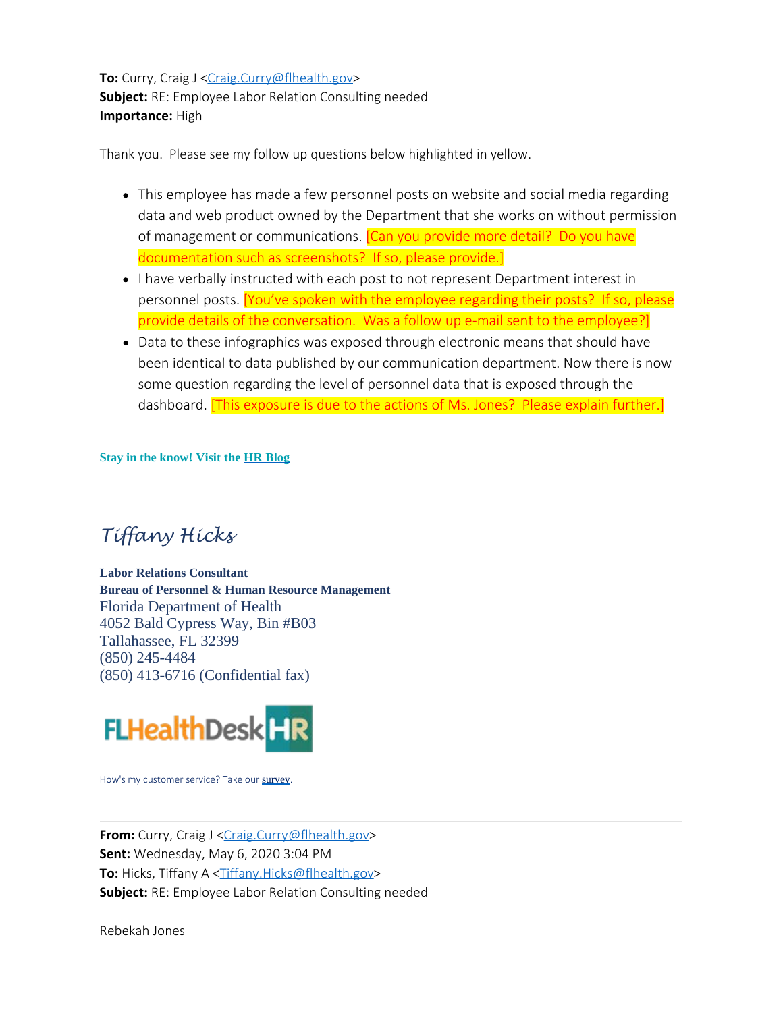**To:** Curry, Craig J [<Craig.Curry@flhealth.gov](mailto:Craig.Curry@flhealth.gov)> **Subject:** RE: Employee Labor Relation Consulting needed **Importance:** High

Thank you. Please see my follow up questions below highlighted in yellow.

- This employee has made a few personnel posts on website and social media regarding data and web product owned by the Department that she works on without permission of management or communications. **[Can you provide more detail?** Do you have documentation such as screenshots? If so, please provide.]
- I have verbally instructed with each post to not represent Department interest in personnel posts. [You've spoken with the employee regarding their posts? If so, please provide details of the conversation. Was a follow up e-mail sent to the employee?]
- Data to these infographics was exposed through electronic means that should have been identical to data published by our communication department. Now there is now some question regarding the level of personnel data that is exposed through the dashboard. [This exposure is due to the actions of Ms. Jones? Please explain further.]

**Stay in the know! Visit the [HR Blog](https://floridahealth.sharepoint.com/Need-To-Know/default.aspx)**

## *Tiffany Hicks*

**Labor Relations Consultant Bureau of Personnel & Human Resource Management** Florida Department of Health 4052 Bald Cypress Way, Bin #B03 Tallahassee, FL 32399 (850) 245-4484 (850) 413-6716 (Confidential fax)



How's my customer service? Take our [survey](http://fldoh.customerservice.sgizmo.com/s3/).

**From:** Curry, Craig J [<Craig.Curry@flhealth.gov](mailto:Craig.Curry@flhealth.gov)> **Sent:** Wednesday, May 6, 2020 3:04 PM **To:** Hicks, Tiffany A <[Tiffany.Hicks@flhealth.gov](mailto:Tiffany.Hicks@flhealth.gov)> **Subject:** RE: Employee Labor Relation Consulting needed

Rebekah Jones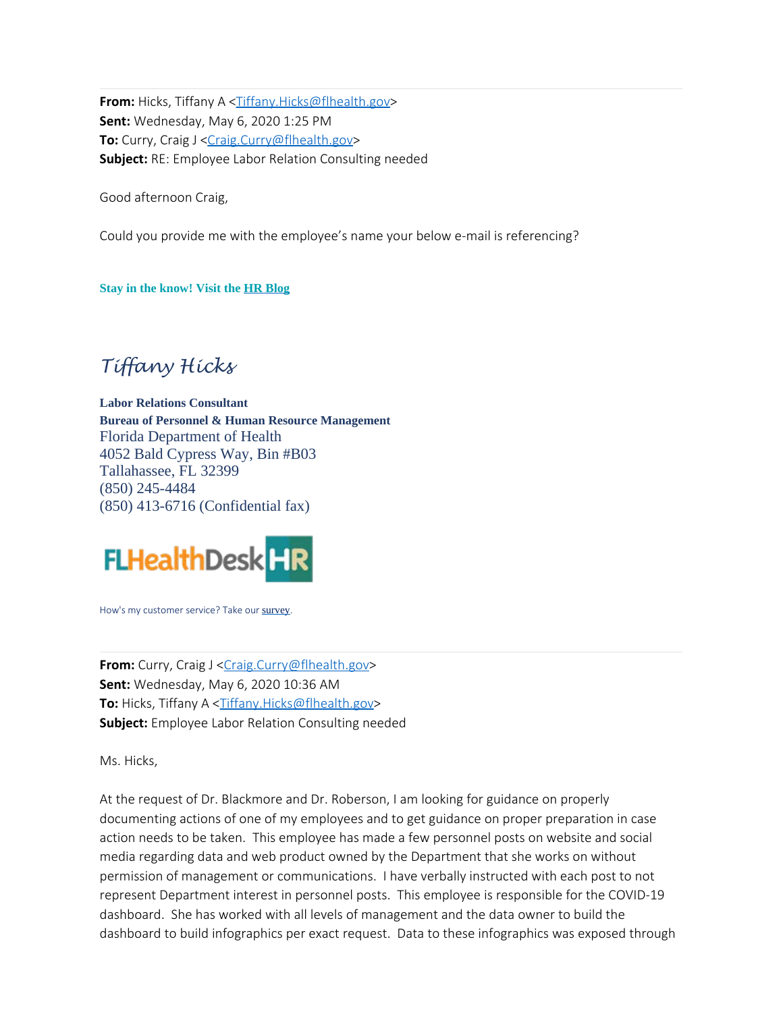**From:** Hicks, Tiffany A <[Tiffany.Hicks@flhealth.gov](mailto:Tiffany.Hicks@flhealth.gov)> **Sent:** Wednesday, May 6, 2020 1:25 PM **To:** Curry, Craig J [<Craig.Curry@flhealth.gov](mailto:Craig.Curry@flhealth.gov)> **Subject:** RE: Employee Labor Relation Consulting needed

Good afternoon Craig,

Could you provide me with the employee's name your below e-mail is referencing?

**Stay in the know! Visit the [HR Blog](https://floridahealth.sharepoint.com/Need-To-Know/default.aspx)**

## *Tiffany Hicks*

**Labor Relations Consultant Bureau of Personnel & Human Resource Management** Florida Department of Health 4052 Bald Cypress Way, Bin #B03 Tallahassee, FL 32399 (850) 245-4484 (850) 413-6716 (Confidential fax)



How's my customer service? Take our [survey](http://fldoh.customerservice.sgizmo.com/s3/).

**From:** Curry, Craig J [<Craig.Curry@flhealth.gov](mailto:Craig.Curry@flhealth.gov)> **Sent:** Wednesday, May 6, 2020 10:36 AM **To:** Hicks, Tiffany A <[Tiffany.Hicks@flhealth.gov](mailto:Tiffany.Hicks@flhealth.gov)> **Subject:** Employee Labor Relation Consulting needed

Ms. Hicks,

At the request of Dr. Blackmore and Dr. Roberson, I am looking for guidance on properly documenting actions of one of my employees and to get guidance on proper preparation in case action needs to be taken. This employee has made a few personnel posts on website and social media regarding data and web product owned by the Department that she works on without permission of management or communications. I have verbally instructed with each post to not represent Department interest in personnel posts. This employee is responsible for the COVID-19 dashboard. She has worked with all levels of management and the data owner to build the dashboard to build infographics per exact request. Data to these infographics was exposed through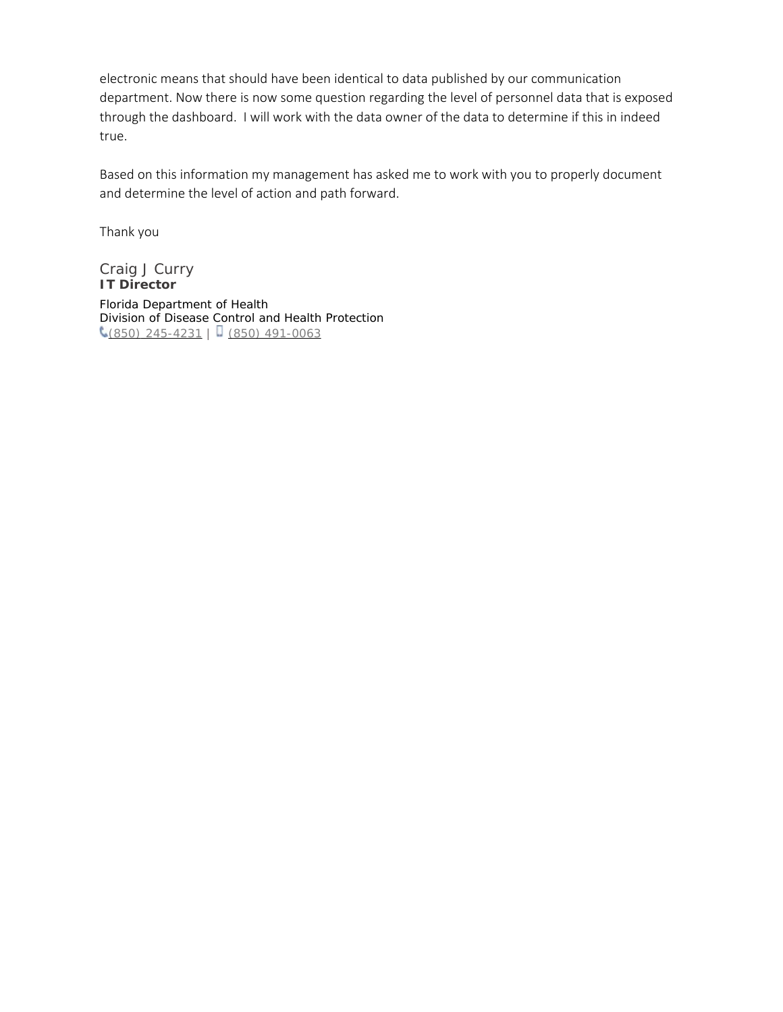electronic means that should have been identical to data published by our communication department. Now there is now some question regarding the level of personnel data that is exposed through the dashboard. I will work with the data owner of the data to determine if this in indeed true.

Based on this information my management has asked me to work with you to properly document and determine the level of action and path forward.

Thank you

Craig J Curry **IT Director** Florida Department of Health Division of Disease Control and Health Protection  $\left( \frac{850}{245.4231} \right)$  (850) 491-0063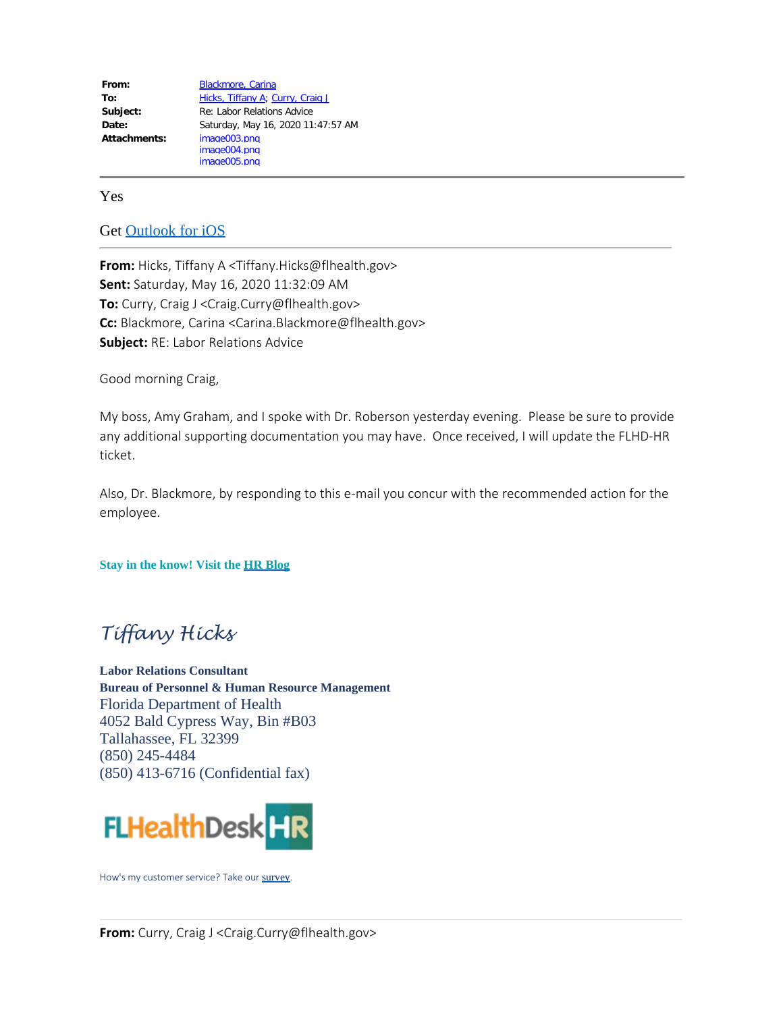From: **Blackmore**, Carina To: [Hicks, Tiffany A](mailto:Tiffany.Hicks@flhealth.gov); [Curry, Craig J](mailto:Craig.Curry@flhealth.gov) **Subject:** Re: Labor Relations Advice **Date:** Saturday, May 16, 2020 11:47:57 AM **Attachments:** image003.png image004.png image005.png

Yes

Get [Outlook for iOS](https://aka.ms/o0ukef)

**From:** Hicks, Tiffany A <Tiffany.Hicks@flhealth.gov> **Sent:** Saturday, May 16, 2020 11:32:09 AM **To:** Curry, Craig J <Craig.Curry@flhealth.gov> **Cc:** Blackmore, Carina <Carina.Blackmore@flhealth.gov> **Subject:** RE: Labor Relations Advice

Good morning Craig,

My boss, Amy Graham, and I spoke with Dr. Roberson yesterday evening. Please be sure to provide any additional supporting documentation you may have. Once received, I will update the FLHD-HR ticket.

Also, Dr. Blackmore, by responding to this e-mail you concur with the recommended action for the employee.

**Stay in the know! Visit the [HR Blog](https://floridahealth.sharepoint.com/Need-To-Know/default.aspx)**

## *Tiffany Hicks*

**Labor Relations Consultant Bureau of Personnel & Human Resource Management** Florida Department of Health 4052 Bald Cypress Way, Bin #B03 Tallahassee, FL 32399 (850) 245-4484 (850) 413-6716 (Confidential fax)



How's my customer service? Take our [survey](http://fldoh.customerservice.sgizmo.com/s3/).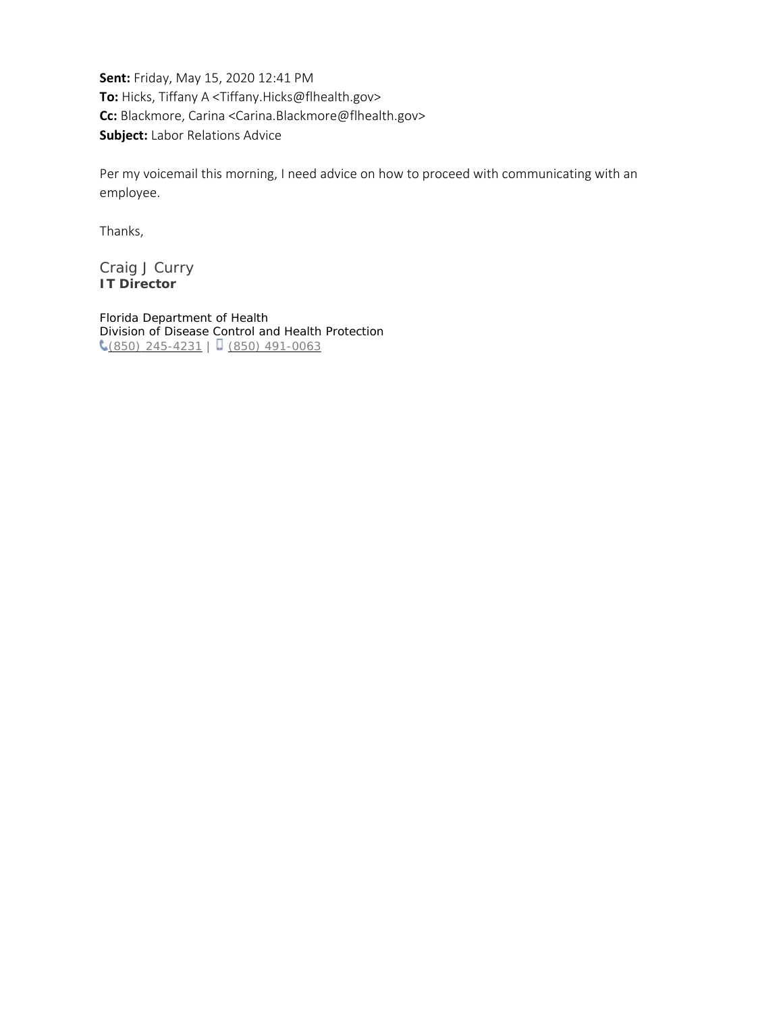**Sent:** Friday, May 15, 2020 12:41 PM **To:** Hicks, Tiffany A <Tiffany.Hicks@flhealth.gov> **Cc:** Blackmore, Carina <Carina.Blackmore@flhealth.gov> **Subject:** Labor Relations Advice

Per my voicemail this morning, I need advice on how to proceed with communicating with an employee.

Thanks,

Craig J Curry **IT Director**

Florida Department of Health Division of Disease Control and Health Protection  $\binom{6}{650}$  245-4231 | (850) 491-0063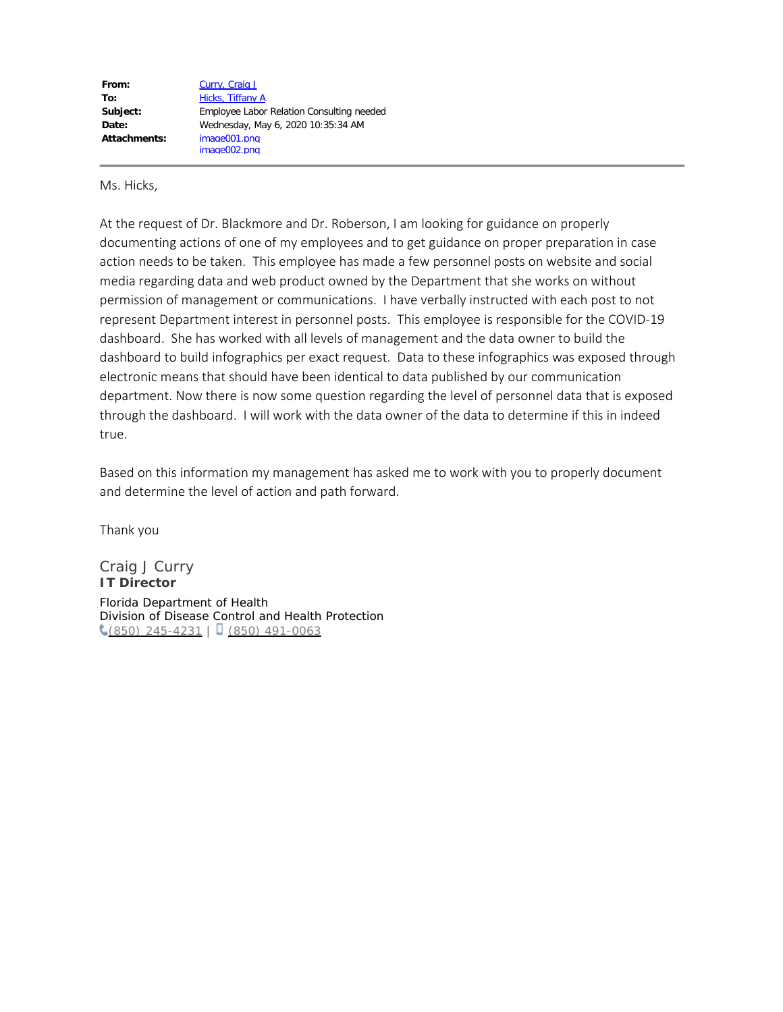| From:        | Curry, Craig J                            |
|--------------|-------------------------------------------|
| To:          | Hicks, Tiffany A                          |
| Subject:     | Employee Labor Relation Consulting needed |
| Date:        | Wednesday, May 6, 2020 10:35:34 AM        |
| Attachments: | image001.png                              |
|              | image002.png                              |

Ms. Hicks,

At the request of Dr. Blackmore and Dr. Roberson, I am looking for guidance on properly documenting actions of one of my employees and to get guidance on proper preparation in case action needs to be taken. This employee has made a few personnel posts on website and social media regarding data and web product owned by the Department that she works on without permission of management or communications. I have verbally instructed with each post to not represent Department interest in personnel posts. This employee is responsible for the COVID-19 dashboard. She has worked with all levels of management and the data owner to build the dashboard to build infographics per exact request. Data to these infographics was exposed through electronic means that should have been identical to data published by our communication department. Now there is now some question regarding the level of personnel data that is exposed through the dashboard. I will work with the data owner of the data to determine if this in indeed true.

Based on this information my management has asked me to work with you to properly document and determine the level of action and path forward.

Thank you

Craig J Curry **IT Director** Florida Department of Health Division of Disease Control and Health Protection  $\binom{6}{650}$  245-4231 | (850) 491-0063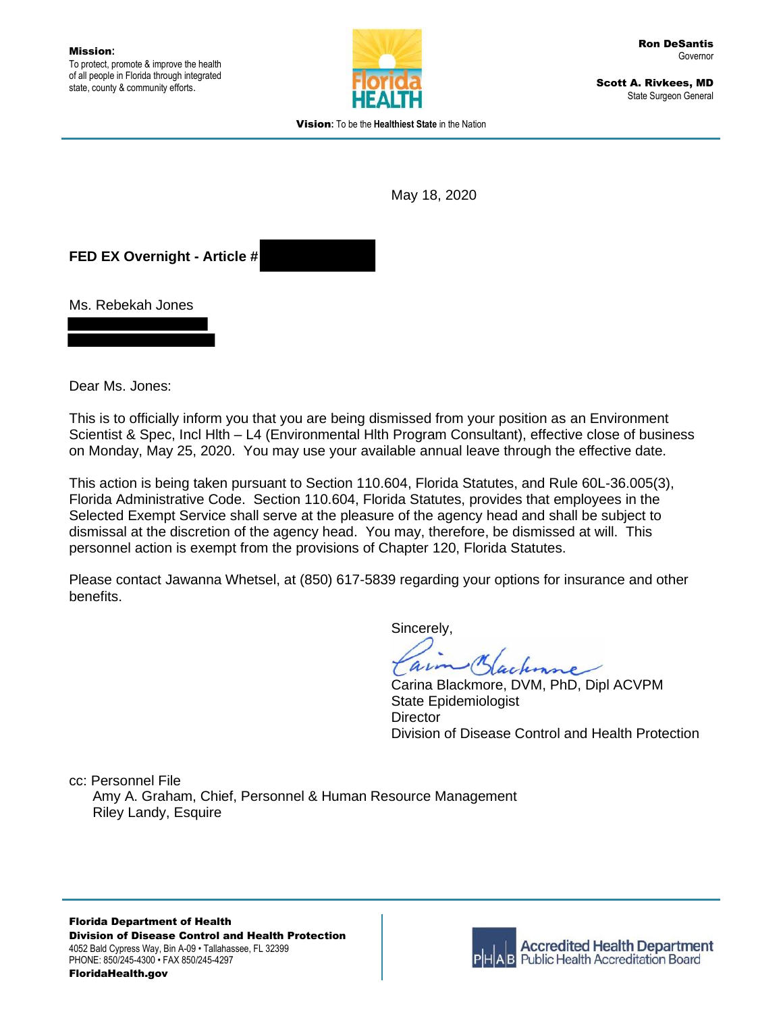

Scott A. Rivkees, MD State Surgeon General

Vision**:** To be the **Healthiest State** in the Nation

May 18, 2020

**FED EX Overnight - Article #**

Ms. Rebekah Jones

Dear Ms. Jones:

This is to officially inform you that you are being dismissed from your position as an Environment Scientist & Spec, Incl Hlth – L4 (Environmental Hlth Program Consultant), effective close of business on Monday, May 25, 2020. You may use your available annual leave through the effective date.

This action is being taken pursuant to Section 110.604, Florida Statutes, and Rule 60L-36.005(3), Florida Administrative Code. Section 110.604, Florida Statutes, provides that employees in the Selected Exempt Service shall serve at the pleasure of the agency head and shall be subject to dismissal at the discretion of the agency head. You may, therefore, be dismissed at will. This personnel action is exempt from the provisions of Chapter 120, Florida Statutes.

Please contact Jawanna Whetsel, at (850) 617-5839 regarding your options for insurance and other benefits.

Sincerely,

arn

Carina Blackmore, DVM, PhD, Dipl ACVPM State Epidemiologist **Director** Division of Disease Control and Health Protection

cc: Personnel File Amy A. Graham, Chief, Personnel & Human Resource Management Riley Landy, Esquire

Florida Department of Health Division of Disease Control and Health Protection 4052 Bald Cypress Way, Bin A-09 • Tallahassee, FL 32399 PHONE: 850/245-4300 • FAX 850/245-4297 FloridaHealth.gov